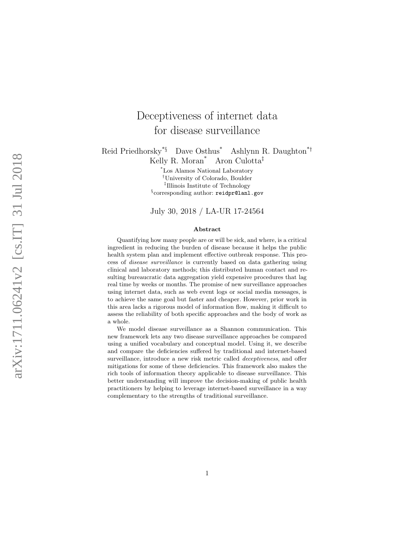# Deceptiveness of internet data for disease surveillance

Reid Priedhorsky<sup>\*§</sup> Dave Osthus<sup>\*</sup> Ashlynn R. Daughton<sup>\*†</sup> Kelly R. Moran \* Aron Culotta ‡

> \*Los Alamos National Laboratory †University of Colorado, Boulder ‡ Illinois Institute of Technology § corresponding author: <reidpr@lanl.gov>

> July 30, 2018 / LA-UR 17-24564

#### Abstract

Quantifying how many people are or will be sick, and where, is a critical ingredient in reducing the burden of disease because it helps the public health system plan and implement effective outbreak response. This process of disease surveillance is currently based on data gathering using clinical and laboratory methods; this distributed human contact and resulting bureaucratic data aggregation yield expensive procedures that lag real time by weeks or months. The promise of new surveillance approaches using internet data, such as web event logs or social media messages, is to achieve the same goal but faster and cheaper. However, prior work in this area lacks a rigorous model of information flow, making it difficult to assess the reliability of both specific approaches and the body of work as a whole.

We model disease surveillance as a Shannon communication. This new framework lets any two disease surveillance approaches be compared using a unified vocabulary and conceptual model. Using it, we describe and compare the deficiencies suffered by traditional and internet-based surveillance, introduce a new risk metric called *deceptiveness*, and offer mitigations for some of these deficiencies. This framework also makes the rich tools of information theory applicable to disease surveillance. This better understanding will improve the decision-making of public health practitioners by helping to leverage internet-based surveillance in a way complementary to the strengths of traditional surveillance.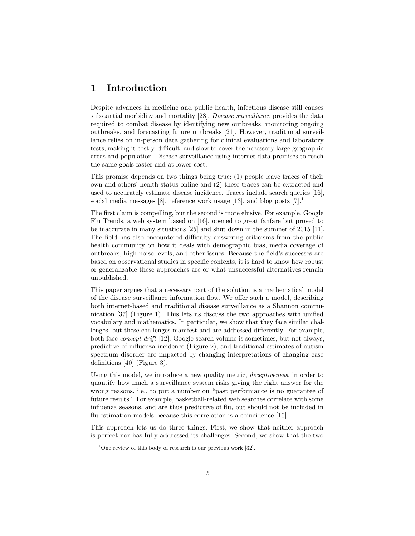# 1 Introduction

Despite advances in medicine and public health, infectious disease still causes substantial morbidity and mortality [\[28\]](#page-24-0). Disease surveillance provides the data required to combat disease by identifying new outbreaks, monitoring ongoing outbreaks, and forecasting future outbreaks [\[21\]](#page-23-0). However, traditional surveillance relies on in-person data gathering for clinical evaluations and laboratory tests, making it costly, difficult, and slow to cover the necessary large geographic areas and population. Disease surveillance using internet data promises to reach the same goals faster and at lower cost.

This promise depends on two things being true: (1) people leave traces of their own and others' health status online and (2) these traces can be extracted and used to accurately estimate disease incidence. Traces include search queries [\[16\]](#page-23-1), social media messages [\[8\]](#page-22-0), reference work usage [\[13\]](#page-23-2), and blog posts  $[7].<sup>1</sup>$  $[7].<sup>1</sup>$  $[7].<sup>1</sup>$  $[7].<sup>1</sup>$ 

The first claim is compelling, but the second is more elusive. For example, Google Flu Trends, a web system based on [\[16\]](#page-23-1), opened to great fanfare but proved to be inaccurate in many situations [\[25\]](#page-24-1) and shut down in the summer of 2015 [\[11\]](#page-23-3). The field has also encountered difficulty answering criticisms from the public health community on how it deals with demographic bias, media coverage of outbreaks, high noise levels, and other issues. Because the field's successes are based on observational studies in specific contexts, it is hard to know how robust or generalizable these approaches are or what unsuccessful alternatives remain unpublished.

This paper argues that a necessary part of the solution is a mathematical model of the disease surveillance information flow. We offer such a model, describing both internet-based and traditional disease surveillance as a Shannon communication [\[37\]](#page-25-0) (Figure [1\)](#page-2-0). This lets us discuss the two approaches with unified vocabulary and mathematics. In particular, we show that they face similar challenges, but these challenges manifest and are addressed differently. For example, both face concept drift [\[12\]](#page-23-4): Google search volume is sometimes, but not always, predictive of influenza incidence (Figure [2\)](#page-3-0), and traditional estimates of autism spectrum disorder are impacted by changing interpretations of changing case definitions [\[40\]](#page-25-1) (Figure [3\)](#page-3-1).

Using this model, we introduce a new quality metric, *deceptiveness*, in order to quantify how much a surveillance system risks giving the right answer for the wrong reasons, i.e., to put a number on "past performance is no guarantee of future results". For example, basketball-related web searches correlate with some influenza seasons, and are thus predictive of flu, but should not be included in flu estimation models because this correlation is a coincidence [\[16\]](#page-23-1).

This approach lets us do three things. First, we show that neither approach is perfect nor has fully addressed its challenges. Second, we show that the two

<span id="page-1-0"></span><sup>&</sup>lt;sup>1</sup>One review of this body of research is our previous work [\[32\]](#page-24-2).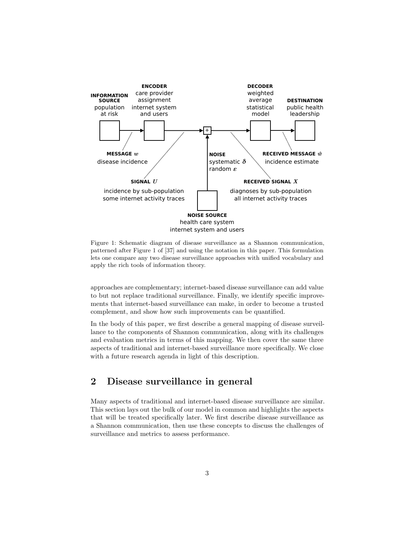<span id="page-2-0"></span>

Figure 1: Schematic diagram of disease surveillance as a Shannon communication, patterned after Figure 1 of [\[37\]](#page-25-0) and using the notation in this paper. This formulation lets one compare any two disease surveillance approaches with unified vocabulary and apply the rich tools of information theory.

approaches are complementary; internet-based disease surveillance can add value to but not replace traditional surveillance. Finally, we identify specific improvements that internet-based surveillance can make, in order to become a trusted complement, and show how such improvements can be quantified.

In the body of this paper, we first describe a general mapping of disease surveillance to the components of Shannon communication, along with its challenges and evaluation metrics in terms of this mapping. We then cover the same three aspects of traditional and internet-based surveillance more specifically. We close with a future research agenda in light of this description.

# 2 Disease surveillance in general

Many aspects of traditional and internet-based disease surveillance are similar. This section lays out the bulk of our model in common and highlights the aspects that will be treated specifically later. We first describe disease surveillance as a Shannon communication, then use these concepts to discuss the challenges of surveillance and metrics to assess performance.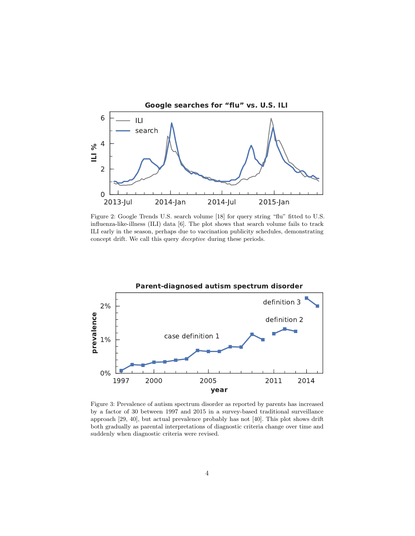<span id="page-3-0"></span>

Figure 2: Google Trends U.S. search volume [\[18\]](#page-23-5) for query string "flu" fitted to U.S. influenza-like-illness (ILI) data [\[6\]](#page-22-2). The plot shows that search volume fails to track ILI early in the season, perhaps due to vaccination publicity schedules, demonstrating concept drift. We call this query deceptive during these periods.

<span id="page-3-1"></span>

Figure 3: Prevalence of autism spectrum disorder as reported by parents has increased by a factor of 30 between 1997 and 2015 in a survey-based traditional surveillance approach [\[29,](#page-24-3) [40\]](#page-25-1), but actual prevalence probably has not [\[40\]](#page-25-1). This plot shows drift both gradually as parental interpretations of diagnostic criteria change over time and suddenly when diagnostic criteria were revised.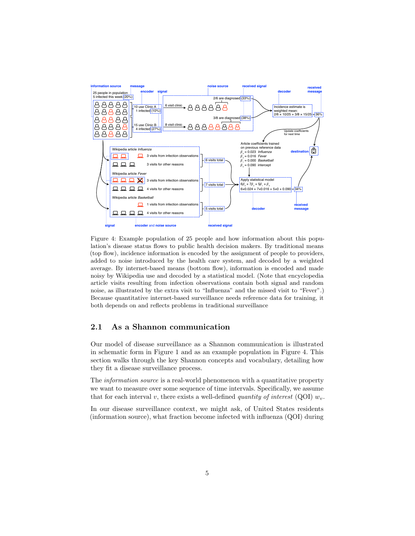<span id="page-4-0"></span>

Figure 4: Example population of 25 people and how information about this population's disease status flows to public health decision makers. By traditional means (top flow), incidence information is encoded by the assignment of people to providers, added to noise introduced by the health care system, and decoded by a weighted average. By internet-based means (bottom flow), information is encoded and made noisy by Wikipedia use and decoded by a statistical model. (Note that encyclopedia article visits resulting from infection observations contain both signal and random noise, as illustrated by the extra visit to "Influenza" and the missed visit to "Fever".) Because quantitative internet-based surveillance needs reference data for training, it both depends on and reflects problems in traditional surveillance

### 2.1 As a Shannon communication

Our model of disease surveillance as a Shannon communication is illustrated in schematic form in Figure [1](#page-2-0) and as an example population in Figure [4.](#page-4-0) This section walks through the key Shannon concepts and vocabulary, detailing how they fit a disease surveillance process.

The *information source* is a real-world phenomenon with a quantitative property we want to measure over some sequence of time intervals. Specifically, we assume that for each interval v, there exists a well-defined quantity of interest (QOI)  $w_n$ .

In our disease surveillance context, we might ask, of United States residents (information source), what fraction become infected with influenza (QOI) during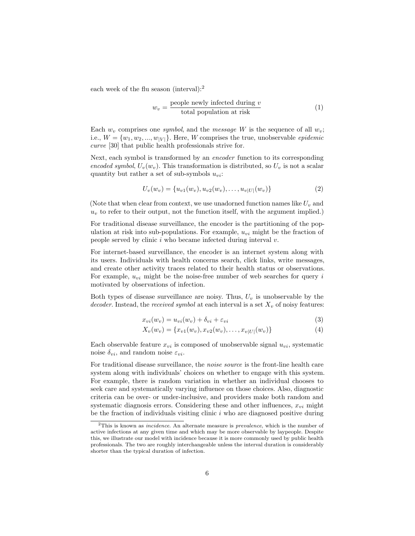each week of the flu season (interval):[2](#page-5-0)

$$
w_v = \frac{\text{people newly infected during } v}{\text{total population at risk}} \tag{1}
$$

Each  $w<sub>v</sub>$  comprises one symbol, and the message W is the sequence of all  $w<sub>v</sub>$ ; i.e.,  $W = \{w_1, w_2, ..., w_{|V|}\}.$  Here, W comprises the true, unobservable *epidemic* curve [\[30\]](#page-24-4) that public health professionals strive for.

Next, each symbol is transformed by an encoder function to its corresponding encoded symbol,  $U_v(w_v)$ . This transformation is distributed, so  $U_v$  is not a scalar quantity but rather a set of sub-symbols  $u_{vi}$ :

$$
U_v(w_v) = \{u_{v1}(w_v), u_{v2}(w_v), \dots, u_{v|U|}(w_v)\}\tag{2}
$$

(Note that when clear from context, we use unadorned function names like  $U_v$  and  $u<sub>v</sub>$  to refer to their output, not the function itself, with the argument implied.)

For traditional disease surveillance, the encoder is the partitioning of the population at risk into sub-populations. For example,  $u_{vi}$  might be the fraction of people served by clinic  $i$  who became infected during interval  $v$ .

For internet-based surveillance, the encoder is an internet system along with its users. Individuals with health concerns search, click links, write messages, and create other activity traces related to their health status or observations. For example,  $u_{vi}$  might be the noise-free number of web searches for query i motivated by observations of infection.

Both types of disease surveillance are noisy. Thus,  $U_v$  is unobservable by the decoder. Instead, the received symbol at each interval is a set  $X_v$  of noisy features:

<span id="page-5-1"></span>
$$
x_{vi}(w_v) = u_{vi}(w_v) + \delta_{vi} + \varepsilon_{vi}
$$
\n<sup>(3)</sup>

$$
X_v(w_v) = \{x_{v1}(w_v), x_{v2}(w_v), \dots, x_{v|U|}(w_v)\}\tag{4}
$$

Each observable feature  $x_{vi}$  is composed of unobservable signal  $u_{vi}$ , systematic noise  $\delta_{vi}$ , and random noise  $\varepsilon_{vi}$ .

For traditional disease surveillance, the noise source is the front-line health care system along with individuals' choices on whether to engage with this system. For example, there is random variation in whether an individual chooses to seek care and systematically varying influence on those choices. Also, diagnostic criteria can be over- or under-inclusive, and providers make both random and systematic diagnosis errors. Considering these and other influences,  $x_{vi}$  might be the fraction of individuals visiting clinic  $i$  who are diagnosed positive during

<span id="page-5-0"></span> $2$ This is known as *incidence*. An alternate measure is *prevalence*, which is the number of active infections at any given time and which may be more observable by laypeople. Despite this, we illustrate our model with incidence because it is more commonly used by public health professionals. The two are roughly interchangeable unless the interval duration is considerably shorter than the typical duration of infection.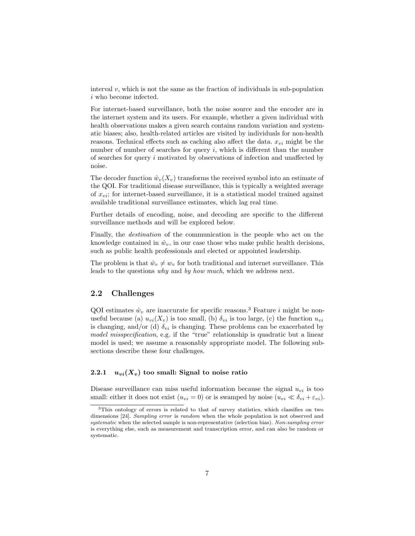interval  $v$ , which is not the same as the fraction of individuals in sub-population i who become infected.

For internet-based surveillance, both the noise source and the encoder are in the internet system and its users. For example, whether a given individual with health observations makes a given search contains random variation and systematic biases; also, health-related articles are visited by individuals for non-health reasons. Technical effects such as caching also affect the data.  $x_{vi}$  might be the number of number of searches for query  $i$ , which is different than the number of searches for query i motivated by observations of infection and unaffected by noise.

The decoder function  $\hat{w}_v(X_v)$  transforms the received symbol into an estimate of the QOI. For traditional disease surveillance, this is typically a weighted average of  $x_{\textit{ni}}$ ; for internet-based surveillance, it is a statistical model trained against available traditional surveillance estimates, which lag real time.

Further details of encoding, noise, and decoding are specific to the different surveillance methods and will be explored below.

Finally, the destination of the communication is the people who act on the knowledge contained in  $\hat{w}_v$ , in our case those who make public health decisions, such as public health professionals and elected or appointed leadership.

The problem is that  $\hat{w}_v \neq w_v$  for both traditional and internet surveillance. This leads to the questions why and by how much, which we address next.

#### 2.2 Challenges

QOI estimates  $\hat{w}_v$  are inaccurate for specific reasons.<sup>[3](#page-6-0)</sup> Feature *i* might be nonuseful because (a)  $u_{vi}(X_v)$  is too small, (b)  $\delta_{vi}$  is too large, (c) the function  $u_{vi}$ is changing, and/or (d)  $\delta_{vi}$  is changing. These problems can be exacerbated by model misspecification, e.g. if the "true" relationship is quadratic but a linear model is used; we assume a reasonably appropriate model. The following subsections describe these four challenges.

#### 2.2.1  $u_{vi}(X_v)$  too small: Signal to noise ratio

Disease surveillance can miss useful information because the signal  $u_{vi}$  is too small: either it does not exist  $(u_{vi} = 0)$  or is swamped by noise  $(u_{vi} \ll \delta_{vi} + \varepsilon_{vi})$ .

<span id="page-6-0"></span><sup>3</sup>This ontology of errors is related to that of survey statistics, which classifies on two dimensions [\[24\]](#page-24-5). Sampling error is random when the whole population is not observed and systematic when the selected sample is non-representative (selection bias). Non-sampling error is everything else, such as measurement and transcription error, and can also be random or systematic.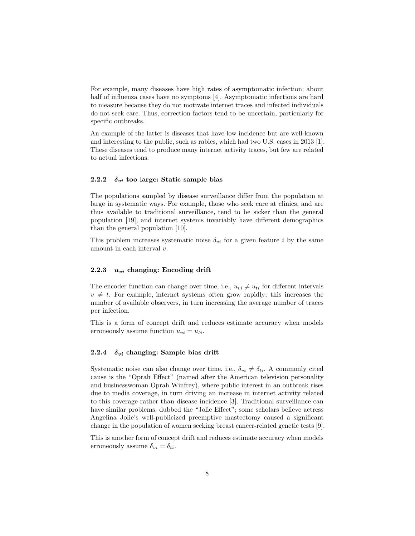For example, many diseases have high rates of asymptomatic infection; about half of influenza cases have no symptoms [\[4\]](#page-22-3). Asymptomatic infections are hard to measure because they do not motivate internet traces and infected individuals do not seek care. Thus, correction factors tend to be uncertain, particularly for specific outbreaks.

An example of the latter is diseases that have low incidence but are well-known and interesting to the public, such as rabies, which had two U.S. cases in 2013 [\[1\]](#page-22-4). These diseases tend to produce many internet activity traces, but few are related to actual infections.

#### 2.2.2  $\delta_{vi}$  too large: Static sample bias

The populations sampled by disease surveillance differ from the population at large in systematic ways. For example, those who seek care at clinics, and are thus available to traditional surveillance, tend to be sicker than the general population [\[19\]](#page-23-6), and internet systems invariably have different demographics than the general population [\[10\]](#page-22-5).

This problem increases systematic noise  $\delta_{vi}$  for a given feature i by the same amount in each interval v.

#### 2.2.3  $u_{vi}$  changing: Encoding drift

The encoder function can change over time, i.e.,  $u_{vi} \neq u_{ti}$  for different intervals  $v \neq t$ . For example, internet systems often grow rapidly; this increases the number of available observers, in turn increasing the average number of traces per infection.

This is a form of concept drift and reduces estimate accuracy when models erroneously assume function  $u_{vi} = u_{ti}$ .

#### 2.2.4  $\delta_{vi}$  changing: Sample bias drift

Systematic noise can also change over time, i.e.,  $\delta_{vi} \neq \delta_{ti}$ . A commonly cited cause is the "Oprah Effect" (named after the American television personality and businesswoman Oprah Winfrey), where public interest in an outbreak rises due to media coverage, in turn driving an increase in internet activity related to this coverage rather than disease incidence [\[3\]](#page-22-6). Traditional surveillance can have similar problems, dubbed the "Jolie Effect"; some scholars believe actress Angelina Jolie's well-publicized preemptive mastectomy caused a significant change in the population of women seeking breast cancer-related genetic tests [\[9\]](#page-22-7).

This is another form of concept drift and reduces estimate accuracy when models erroneously assume  $\delta_{vi} = \delta_{ti}$ .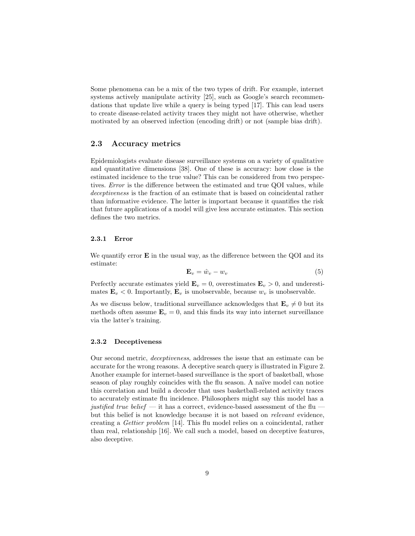Some phenomena can be a mix of the two types of drift. For example, internet systems actively manipulate activity [\[25\]](#page-24-1), such as Google's search recommendations that update live while a query is being typed [\[17\]](#page-23-7). This can lead users to create disease-related activity traces they might not have otherwise, whether motivated by an observed infection (encoding drift) or not (sample bias drift).

#### 2.3 Accuracy metrics

Epidemiologists evaluate disease surveillance systems on a variety of qualitative and quantitative dimensions [\[38\]](#page-25-2). One of these is accuracy: how close is the estimated incidence to the true value? This can be considered from two perspectives. Error is the difference between the estimated and true QOI values, while deceptiveness is the fraction of an estimate that is based on coincidental rather than informative evidence. The latter is important because it quantifies the risk that future applications of a model will give less accurate estimates. This section defines the two metrics.

#### 2.3.1 Error

We quantify error  $\bf{E}$  in the usual way, as the difference between the QOI and its estimate:

$$
\mathbf{E}_v = \hat{w}_v - w_v \tag{5}
$$

Perfectly accurate estimates yield  $\mathbf{E}_v = 0$ , overestimates  $\mathbf{E}_v > 0$ , and underestimates  $\mathbf{E}_v < 0$ . Importantly,  $\mathbf{E}_v$  is unobservable, because  $w_v$  is unobservable.

As we discuss below, traditional surveillance acknowledges that  $\mathbf{E}_v \neq 0$  but its methods often assume  $\mathbf{E}_v = 0$ , and this finds its way into internet surveillance via the latter's training.

#### 2.3.2 Deceptiveness

Our second metric, deceptiveness, addresses the issue that an estimate can be accurate for the wrong reasons. A deceptive search query is illustrated in Figure [2.](#page-3-0) Another example for internet-based surveillance is the sport of basketball, whose season of play roughly coincides with the flu season. A naïve model can notice this correlation and build a decoder that uses basketball-related activity traces to accurately estimate flu incidence. Philosophers might say this model has a justified true belief — it has a correct, evidence-based assessment of the flu but this belief is not knowledge because it is not based on relevant evidence, creating a Gettier problem [\[14\]](#page-23-8). This flu model relies on a coincidental, rather than real, relationship [\[16\]](#page-23-1). We call such a model, based on deceptive features, also deceptive.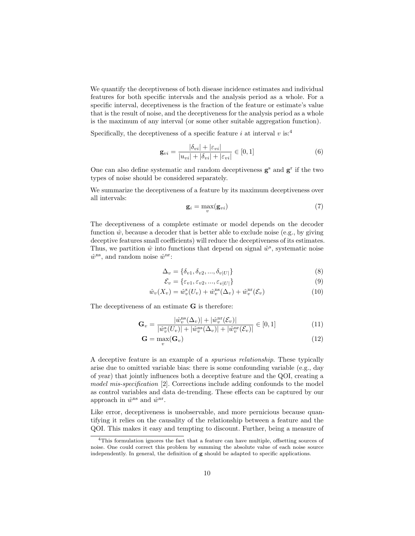We quantify the deceptiveness of both disease incidence estimates and individual features for both specific intervals and the analysis period as a whole. For a specific interval, deceptiveness is the fraction of the feature or estimate's value that is the result of noise, and the deceptiveness for the analysis period as a whole is the maximum of any interval (or some other suitable aggregation function).

Specifically, the deceptiveness of a specific feature i at interval v is:<sup>[4](#page-9-0)</sup>

$$
\mathbf{g}_{vi} = \frac{|\delta_{vi}| + |\varepsilon_{vi}|}{|u_{vi}| + |\delta_{vi}| + |\varepsilon_{vi}|} \in [0, 1]
$$
(6)

One can also define systematic and random deceptiveness  $g^s$  and  $g^r$  if the two types of noise should be considered separately.

We summarize the deceptiveness of a feature by its maximum deceptiveness over all intervals:

$$
\mathbf{g}_i = \max_v(\mathbf{g}_{vi})
$$
\n(7)

The deceptiveness of a complete estimate or model depends on the decoder function  $\hat{w}$ , because a decoder that is better able to exclude noise (e.g., by giving deceptive features small coefficients) will reduce the deceptiveness of its estimates. Thus, we partition  $\hat{w}$  into functions that depend on signal  $\hat{w}^s$ , systematic noise  $\hat{w}^{\text{ns}}$ , and random noise  $\hat{w}^{\text{nr}}$ :

$$
\Delta_v = \{ \delta_{v1}, \delta_{v2}, ..., \delta_{v|U|} \}
$$
\n(8)

$$
\mathcal{E}_v = \{\varepsilon_{v1}, \varepsilon_{v2}, ..., \varepsilon_{v|U|}\}\tag{9}
$$

$$
\hat{w}_v(X_v) = \hat{w}_v^{\rm s}(U_v) + \hat{w}_v^{\rm ns}(\Delta_v) + \hat{w}_v^{\rm nr}(\mathcal{E}_v)
$$
\n(10)

The deceptiveness of an estimate G is therefore:

$$
\mathbf{G}_v = \frac{|\hat{w}_v^{\text{ns}}(\Delta_v)| + |\hat{w}_v^{\text{ns}}(\mathcal{E}_v)|}{|\hat{w}_v^{\text{s}}(U_v)| + |\hat{w}_v^{\text{ns}}(\Delta_v)| + |\hat{w}_v^{\text{nr}}(\mathcal{E}_v)|} \in [0, 1]
$$
\n(11)

$$
\mathbf{G} = \max_{v}(\mathbf{G}_v) \tag{12}
$$

A deceptive feature is an example of a spurious relationship. These typically arise due to omitted variable bias: there is some confounding variable (e.g., day of year) that jointly influences both a deceptive feature and the QOI, creating a model mis-specification [\[2\]](#page-22-8). Corrections include adding confounds to the model as control variables and data de-trending. These effects can be captured by our approach in  $\hat{w}^{\text{ns}}$  and  $\hat{w}^{\text{nr}}$ .

Like error, deceptiveness is unobservable, and more pernicious because quantifying it relies on the causality of the relationship between a feature and the QOI. This makes it easy and tempting to discount. Further, being a measure of

<span id="page-9-0"></span><sup>4</sup>This formulation ignores the fact that a feature can have multiple, offsetting sources of noise. One could correct this problem by summing the absolute value of each noise source independently. In general, the definition of g should be adapted to specific applications.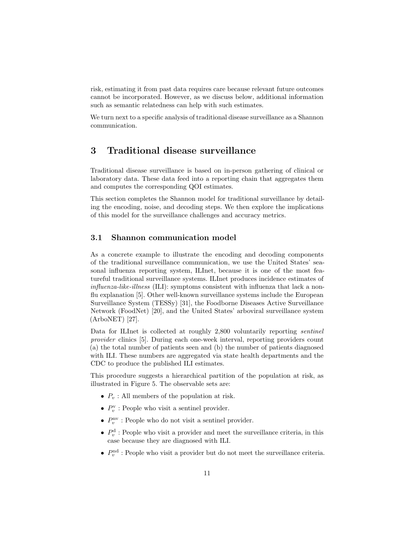risk, estimating it from past data requires care because relevant future outcomes cannot be incorporated. However, as we discuss below, additional information such as semantic relatedness can help with such estimates.

We turn next to a specific analysis of traditional disease surveillance as a Shannon communication.

# 3 Traditional disease surveillance

Traditional disease surveillance is based on in-person gathering of clinical or laboratory data. These data feed into a reporting chain that aggregates them and computes the corresponding QOI estimates.

This section completes the Shannon model for traditional surveillance by detailing the encoding, noise, and decoding steps. We then explore the implications of this model for the surveillance challenges and accuracy metrics.

### 3.1 Shannon communication model

As a concrete example to illustrate the encoding and decoding components of the traditional surveillance communication, we use the United States' seasonal influenza reporting system, ILInet, because it is one of the most featureful traditional surveillance systems. ILInet produces incidence estimates of influenza-like-illness (ILI): symptoms consistent with influenza that lack a nonflu explanation [\[5\]](#page-22-9). Other well-known surveillance systems include the European Surveillance System (TESSy) [\[31\]](#page-24-6), the Foodborne Diseases Active Surveillance Network (FoodNet) [\[20\]](#page-23-9), and the United States' arboviral surveillance system (ArboNET) [\[27\]](#page-24-7).

Data for ILInet is collected at roughly 2,800 voluntarily reporting sentinel provider clinics [\[5\]](#page-22-9). During each one-week interval, reporting providers count (a) the total number of patients seen and (b) the number of patients diagnosed with ILI. These numbers are aggregated via state health departments and the CDC to produce the published ILI estimates.

This procedure suggests a hierarchical partition of the population at risk, as illustrated in Figure [5.](#page-11-0) The observable sets are:

- $P_v$ : All members of the population at risk.
- $P_v^{\mathbf{v}}$ : People who visit a sentinel provider.
- $P_v^{\text{nv}}$ : People who do not visit a sentinel provider.
- $P_v^d$ : People who visit a provider and meet the surveillance criteria, in this case because they are diagnosed with ILI.
- $P_v^{\text{nd}}$ : People who visit a provider but do not meet the surveillance criteria.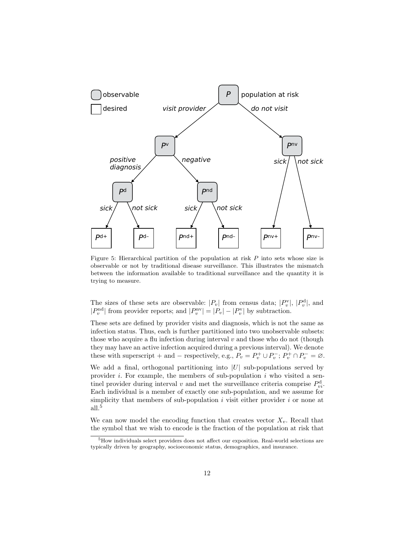<span id="page-11-0"></span>

Figure 5: Hierarchical partition of the population at risk P into sets whose size is observable or not by traditional disease surveillance. This illustrates the mismatch between the information available to traditional surveillance and the quantity it is trying to measure.

The sizes of these sets are observable:  $|P_v|$  from census data;  $|P_v^{\rm v}|$ ,  $|P_v^{\rm d}|$ , and  $|P_v^{\text{nd}}|$  from provider reports; and  $|P_v^{\text{nv}}| = |P_v| - |P_v^{\text{v}}|$  by subtraction.

These sets are defined by provider visits and diagnosis, which is not the same as infection status. Thus, each is further partitioned into two unobservable subsets: those who acquire a flu infection during interval  $v$  and those who do not (though they may have an active infection acquired during a previous interval). We denote these with superscript + and – respectively, e.g.,  $P_v = P_v^+ \cup P_v^-$ ;  $P_v^+ \cap P_v^- = \varnothing$ .

We add a final, orthogonal partitioning into  $|U|$  sub-populations served by provider  $i$ . For example, the members of sub-population  $i$  who visited a sentinel provider during interval v and met the surveillance criteria comprise  $P_{vi}^{\rm d}$ . Each individual is a member of exactly one sub-population, and we assume for simplicity that members of sub-population i visit either provider i or none at all.[5](#page-11-1)

We can now model the encoding function that creates vector  $X_v$ . Recall that the symbol that we wish to encode is the fraction of the population at risk that

<span id="page-11-1"></span><sup>5</sup>How individuals select providers does not affect our exposition. Real-world selections are typically driven by geography, socioeconomic status, demographics, and insurance.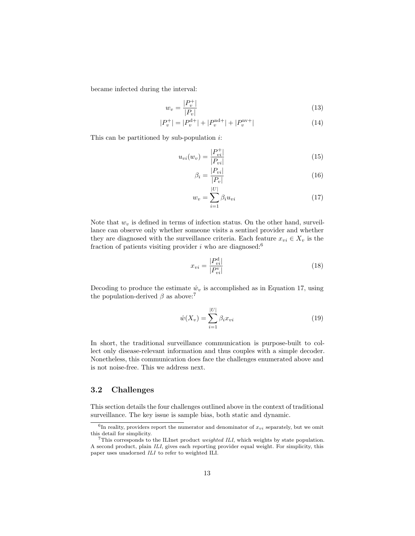became infected during the interval:

$$
w_v = \frac{|P_v^+|}{|P_v|} \tag{13}
$$

$$
|P_v^+| = |P_v^{\text{d}+}| + |P_v^{\text{nd}+}| + |P_v^{\text{nv}+}| \tag{14}
$$

This can be partitioned by sub-population  $i$ :

$$
u_{vi}(w_v) = \frac{|P_{vi}^+|}{|P_{vi}|}
$$
\n(15)

<span id="page-12-3"></span>
$$
\beta_i = \frac{|P_{vi}|}{|P_v|} \tag{16}
$$

<span id="page-12-1"></span>
$$
w_v = \sum_{i=1}^{|U|} \beta_i u_{vi}
$$
 (17)

Note that  $w_v$  is defined in terms of infection status. On the other hand, surveillance can observe only whether someone visits a sentinel provider and whether they are diagnosed with the surveillance criteria. Each feature  $x_{vi} \in X_v$  is the fraction of patients visiting provider  $i$  who are diagnosed:<sup>[6](#page-12-0)</sup>

<span id="page-12-4"></span>
$$
x_{vi} = \frac{|P_{vi}^{\rm d}|}{|P_{vi}^{\rm v}|}\tag{18}
$$

Decoding to produce the estimate  $\hat{w}_v$  is accomplished as in Equation [17,](#page-12-1) using the population-derived  $\beta$  as above:<sup>[7](#page-12-2)</sup>

$$
\hat{w}(X_v) = \sum_{i=1}^{|U|} \beta_i x_{vi}
$$
\n(19)

In short, the traditional surveillance communication is purpose-built to collect only disease-relevant information and thus couples with a simple decoder. Nonetheless, this communication does face the challenges enumerated above and is not noise-free. This we address next.

#### <span id="page-12-5"></span>3.2 Challenges

This section details the four challenges outlined above in the context of traditional surveillance. The key issue is sample bias, both static and dynamic.

<span id="page-12-0"></span><sup>&</sup>lt;sup>6</sup>In reality, providers report the numerator and denominator of  $x_{vi}$  separately, but we omit this detail for simplicity.

<span id="page-12-2"></span><sup>&</sup>lt;sup>7</sup>This corresponds to the ILInet product *weighted ILI*, which weights by state population. A second product, plain ILI, gives each reporting provider equal weight. For simplicity, this paper uses unadorned ILI to refer to weighted ILI.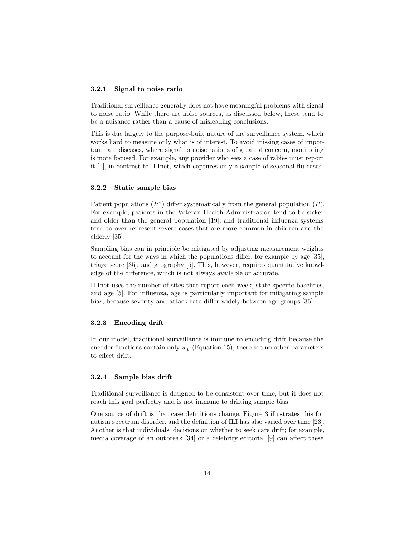#### 3.2.1 Signal to noise ratio

Traditional surveillance generally does not have meaningful problems with signal to noise ratio. While there are noise sources, as discussed below, these tend to be a nuisance rather than a cause of misleading conclusions.

This is due largely to the purpose-built nature of the surveillance system, which works hard to measure only what is of interest. To avoid missing cases of important rare diseases, where signal to noise ratio is of greatest concern, monitoring is more focused. For example, any provider who sees a case of rabies must report it [\[1\]](#page-22-4), in contrast to ILInet, which captures only a sample of seasonal flu cases.

#### 3.2.2 Static sample bias

Patient populations  $(P<sup>v</sup>)$  differ systematically from the general population  $(P)$ . For example, patients in the Veteran Health Administration tend to be sicker and older than the general population [\[19\]](#page-23-6), and traditional influenza systems tend to over-represent severe cases that are more common in children and the elderly [\[35\]](#page-25-3).

Sampling bias can in principle be mitigated by adjusting measurement weights to account for the ways in which the populations differ, for example by age [\[35\]](#page-25-3), triage score [\[35\]](#page-25-3), and geography [\[5\]](#page-22-9). This, however, requires quantitative knowledge of the difference, which is not always available or accurate.

ILInet uses the number of sites that report each week, state-specific baselines, and age [\[5\]](#page-22-9). For influenza, age is particularly important for mitigating sample bias, because severity and attack rate differ widely between age groups [\[35\]](#page-25-3).

#### 3.2.3 Encoding drift

In our model, traditional surveillance is immune to encoding drift because the encoder functions contain only  $w_y$  (Equation [15\)](#page-12-3); there are no other parameters to effect drift.

#### 3.2.4 Sample bias drift

Traditional surveillance is designed to be consistent over time, but it does not reach this goal perfectly and is not immune to drifting sample bias.

One source of drift is that case definitions change. Figure [3](#page-3-1) illustrates this for autism spectrum disorder, and the definition of ILI has also varied over time [\[23\]](#page-24-8). Another is that individuals' decisions on whether to seek care drift; for example, media coverage of an outbreak [\[34\]](#page-24-9) or a celebrity editorial [\[9\]](#page-22-7) can affect these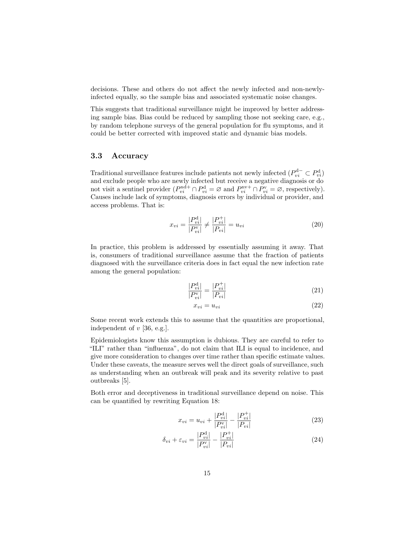decisions. These and others do not affect the newly infected and non-newlyinfected equally, so the sample bias and associated systematic noise changes.

This suggests that traditional surveillance might be improved by better addressing sample bias. Bias could be reduced by sampling those not seeking care, e.g., by random telephone surveys of the general population for flu symptoms, and it could be better corrected with improved static and dynamic bias models.

#### 3.3 Accuracy

Traditional surveillance features include patients not newly infected  $(P_{vi}^{\mathbf{d}-} \subset P_{vi}^{\mathbf{d}})$ and exclude people who are newly infected but receive a negative diagnosis or do not visit a sentinel provider  $(P_{vi}^{\text{nd}+} \cap P_{vi}^{\text{d}} = \varnothing$  and  $P_{vi}^{\text{nv}+} \cap P_{vi}^{\text{v}} = \varnothing$ , respectively). Causes include lack of symptoms, diagnosis errors by individual or provider, and access problems. That is:

$$
x_{vi} = \frac{|P_{vi}^{\rm d}|}{|P_{vi}^{\rm v}|} \neq \frac{|P_{vi}^{\rm +}|}{|P_{vi}|} = u_{vi}
$$
\n(20)

In practice, this problem is addressed by essentially assuming it away. That is, consumers of traditional surveillance assume that the fraction of patients diagnosed with the surveillance criteria does in fact equal the new infection rate among the general population:

$$
\frac{|P_{vi}^{\rm d}|}{|P_{vi}^{\rm v}|} = \frac{|P_{vi}^+|}{|P_{vi}|}
$$
\n(21)

$$
x_{vi} = u_{vi} \tag{22}
$$

Some recent work extends this to assume that the quantities are proportional, independent of  $v$  [\[36,](#page-25-4) e.g.].

Epidemiologists know this assumption is dubious. They are careful to refer to "ILI" rather than "influenza", do not claim that ILI is equal to incidence, and give more consideration to changes over time rather than specific estimate values. Under these caveats, the measure serves well the direct goals of surveillance, such as understanding when an outbreak will peak and its severity relative to past outbreaks [\[5\]](#page-22-9).

Both error and deceptiveness in traditional surveillance depend on noise. This can be quantified by rewriting Equation [18:](#page-12-4)

$$
x_{vi} = u_{vi} + \frac{|P_{vi}^{\mathrm{d}}|}{|P_{vi}^{\mathrm{v}}|} - \frac{|P_{vi}^{\mathrm{+}}|}{|P_{vi}|}
$$
\n(23)

$$
\delta_{vi} + \varepsilon_{vi} = \frac{|P_{vi}^{\mathrm{d}}|}{|P_{vi}^{\mathrm{v}}|} - \frac{|P_{vi}^{\mathrm{+}}|}{|P_{vi}|} \tag{24}
$$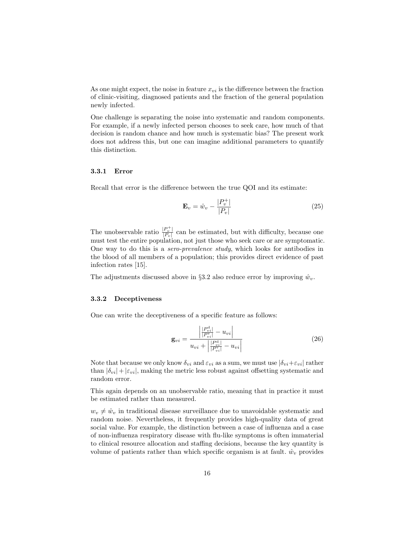As one might expect, the noise in feature  $x_{vi}$  is the difference between the fraction of clinic-visiting, diagnosed patients and the fraction of the general population newly infected.

One challenge is separating the noise into systematic and random components. For example, if a newly infected person chooses to seek care, how much of that decision is random chance and how much is systematic bias? The present work does not address this, but one can imagine additional parameters to quantify this distinction.

#### 3.3.1 Error

Recall that error is the difference between the true QOI and its estimate:

$$
\mathbf{E}_v = \hat{w}_v - \frac{|P_v^+|}{|P_v|} \tag{25}
$$

The unobservable ratio  $\frac{|P_v^+|}{|P_v^-|}$  $\frac{|P_v|}{|P_v|}$  can be estimated, but with difficulty, because one must test the entire population, not just those who seek care or are symptomatic. One way to do this is a sero-prevalence study, which looks for antibodies in the blood of all members of a population; this provides direct evidence of past infection rates [\[15\]](#page-23-10).

The adjustments discussed above in §[3.2](#page-12-5) also reduce error by improving  $\hat{w}_v$ .

#### 3.3.2 Deceptiveness

One can write the deceptiveness of a specific feature as follows:

$$
\mathbf{g}_{vi} = \frac{\left| \frac{|P_{vi}^{\text{d}}|}{|P_{vi}^{\text{d}}|} - u_{vi} \right|}{u_{vi} + \left| \frac{|P_{vi}^{\text{d}}|}{|P_{vi}^{\text{d}}|} - u_{vi} \right|} \tag{26}
$$

Note that because we only know  $\delta_{vi}$  and  $\varepsilon_{vi}$  as a sum, we must use  $|\delta_{vi}+\varepsilon_{vi}|$  rather than  $|\delta_{vi}|+|\varepsilon_{vi}|$ , making the metric less robust against offsetting systematic and random error.

This again depends on an unobservable ratio, meaning that in practice it must be estimated rather than measured.

 $w_v \neq \hat{w}_v$  in traditional disease surveillance due to unavoidable systematic and random noise. Nevertheless, it frequently provides high-quality data of great social value. For example, the distinction between a case of influenza and a case of non-influenza respiratory disease with flu-like symptoms is often immaterial to clinical resource allocation and staffing decisions, because the key quantity is volume of patients rather than which specific organism is at fault.  $\hat{w}_v$  provides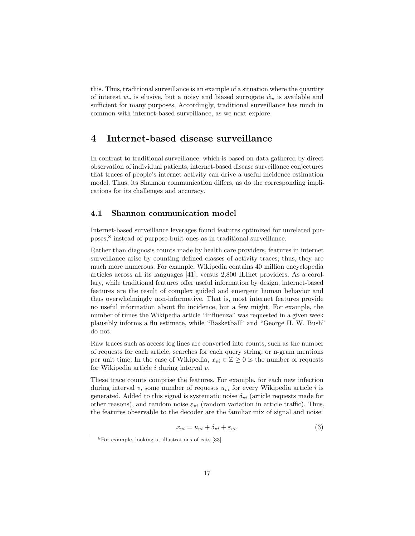this. Thus, traditional surveillance is an example of a situation where the quantity of interest  $w_v$  is elusive, but a noisy and biased surrogate  $\hat{w}_v$  is available and sufficient for many purposes. Accordingly, traditional surveillance has much in common with internet-based surveillance, as we next explore.

# 4 Internet-based disease surveillance

In contrast to traditional surveillance, which is based on data gathered by direct observation of individual patients, internet-based disease surveillance conjectures that traces of people's internet activity can drive a useful incidence estimation model. Thus, its Shannon communication differs, as do the corresponding implications for its challenges and accuracy.

#### 4.1 Shannon communication model

Internet-based surveillance leverages found features optimized for unrelated purposes,[8](#page-16-0) instead of purpose-built ones as in traditional surveillance.

Rather than diagnosis counts made by health care providers, features in internet surveillance arise by counting defined classes of activity traces; thus, they are much more numerous. For example, Wikipedia contains 40 million encyclopedia articles across all its languages [\[41\]](#page-25-5), versus 2,800 ILInet providers. As a corollary, while traditional features offer useful information by design, internet-based features are the result of complex guided and emergent human behavior and thus overwhelmingly non-informative. That is, most internet features provide no useful information about flu incidence, but a few might. For example, the number of times the Wikipedia article "Influenza" was requested in a given week plausibly informs a flu estimate, while "Basketball" and "George H. W. Bush" do not.

Raw traces such as access log lines are converted into counts, such as the number of requests for each article, searches for each query string, or n-gram mentions per unit time. In the case of Wikipedia,  $x_{vi} \in \mathbb{Z} \geq 0$  is the number of requests for Wikipedia article  $i$  during interval  $v$ .

These trace counts comprise the features. For example, for each new infection during interval v, some number of requests  $u_{vi}$  for every Wikipedia article i is generated. Added to this signal is systematic noise  $\delta_{vi}$  (article requests made for other reasons), and random noise  $\varepsilon_{vi}$  (random variation in article traffic). Thus, the features observable to the decoder are the familiar mix of signal and noise:

<span id="page-16-1"></span>
$$
x_{vi} = u_{vi} + \delta_{vi} + \varepsilon_{vi}.
$$
\n<sup>(3)</sup>

<span id="page-16-0"></span><sup>8</sup>For example, looking at illustrations of cats [\[33\]](#page-24-10).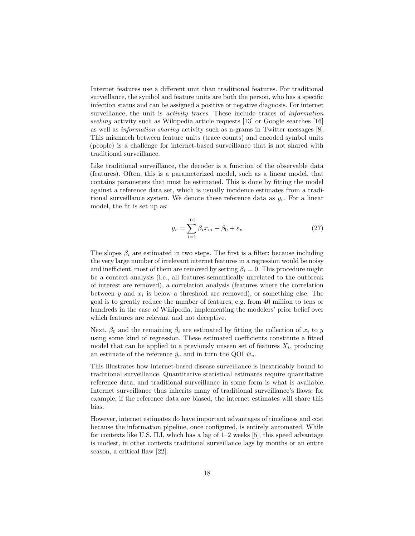Internet features use a different unit than traditional features. For traditional surveillance, the symbol and feature units are both the person, who has a specific infection status and can be assigned a positive or negative diagnosis. For internet surveillance, the unit is *activity traces*. These include traces of *information* seeking activity such as Wikipedia article requests [\[13\]](#page-23-2) or Google searches [\[16\]](#page-23-1) as well as information sharing activity such as n-grams in Twitter messages [\[8\]](#page-22-0). This mismatch between feature units (trace counts) and encoded symbol units (people) is a challenge for internet-based surveillance that is not shared with traditional surveillance.

Like traditional surveillance, the decoder is a function of the observable data (features). Often, this is a parameterized model, such as a linear model, that contains parameters that must be estimated. This is done by fitting the model against a reference data set, which is usually incidence estimates from a traditional surveillance system. We denote these reference data as  $y_v$ . For a linear model, the fit is set up as:

$$
y_v = \sum_{i=1}^{|U|} \beta_i x_{vi} + \beta_0 + \varepsilon_v \tag{27}
$$

The slopes  $\beta_i$  are estimated in two steps. The first is a filter: because including the very large number of irrelevant internet features in a regression would be noisy and inefficient, most of them are removed by setting  $\beta_i = 0$ . This procedure might be a context analysis (i.e., all features semantically unrelated to the outbreak of interest are removed), a correlation analysis (features where the correlation between  $y$  and  $x_i$  is below a threshold are removed), or something else. The goal is to greatly reduce the number of features, e.g. from 40 million to tens or hundreds in the case of Wikipedia, implementing the modelers' prior belief over which features are relevant and not deceptive.

Next,  $\beta_0$  and the remaining  $\beta_i$  are estimated by fitting the collection of  $x_i$  to y using some kind of regression. These estimated coefficients constitute a fitted model that can be applied to a previously unseen set of features  $X_t$ , producing an estimate of the reference  $\hat{y}_v$  and in turn the QOI  $\hat{w}_v$ .

This illustrates how internet-based disease surveillance is inextricably bound to traditional surveillance. Quantitative statistical estimates require quantitative reference data, and traditional surveillance in some form is what is available. Internet surveillance thus inherits many of traditional surveillance's flaws; for example, if the reference data are biased, the internet estimates will share this bias.

However, internet estimates do have important advantages of timeliness and cost because the information pipeline, once configured, is entirely automated. While for contexts like U.S. ILI, which has a lag of 1–2 weeks [\[5\]](#page-22-9), this speed advantage is modest, in other contexts traditional surveillance lags by months or an entire season, a critical flaw [\[22\]](#page-23-11).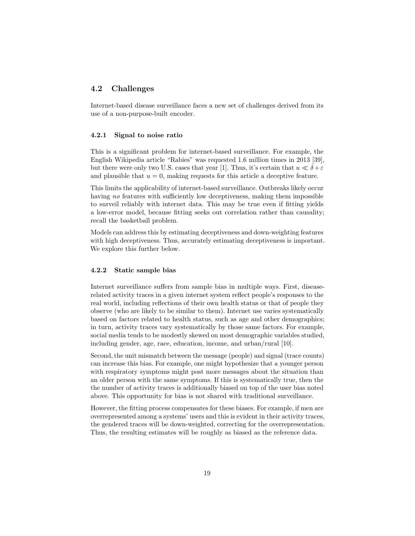### 4.2 Challenges

Internet-based disease surveillance faces a new set of challenges derived from its use of a non-purpose-built encoder.

#### 4.2.1 Signal to noise ratio

This is a significant problem for internet-based surveillance. For example, the English Wikipedia article "Rabies" was requested 1.6 million times in 2013 [\[39\]](#page-25-6), but there were only two U.S. cases that year [\[1\]](#page-22-4). Thus, it's certain that  $u \ll \delta + \varepsilon$ and plausible that  $u = 0$ , making requests for this article a deceptive feature.

This limits the applicability of internet-based surveillance. Outbreaks likely occur having no features with sufficiently low deceptiveness, making them impossible to surveil reliably with internet data. This may be true even if fitting yields a low-error model, because fitting seeks out correlation rather than causality; recall the basketball problem.

Models can address this by estimating deceptiveness and down-weighting features with high deceptiveness. Thus, accurately estimating deceptiveness is important. We explore this further below.

#### 4.2.2 Static sample bias

Internet surveillance suffers from sample bias in multiple ways. First, diseaserelated activity traces in a given internet system reflect people's responses to the real world, including reflections of their own health status or that of people they observe (who are likely to be similar to them). Internet use varies systematically based on factors related to health status, such as age and other demographics; in turn, activity traces vary systematically by those same factors. For example, social media tends to be modestly skewed on most demographic variables studied, including gender, age, race, education, income, and urban/rural [\[10\]](#page-22-5).

Second, the unit mismatch between the message (people) and signal (trace counts) can increase this bias. For example, one might hypothesize that a younger person with respiratory symptoms might post more messages about the situation than an older person with the same symptoms. If this is systematically true, then the the number of activity traces is additionally biased on top of the user bias noted above. This opportunity for bias is not shared with traditional surveillance.

However, the fitting process compensates for these biases. For example, if men are overrepresented among a systems' users and this is evident in their activity traces, the gendered traces will be down-weighted, correcting for the overrepresentation. Thus, the resulting estimates will be roughly as biased as the reference data.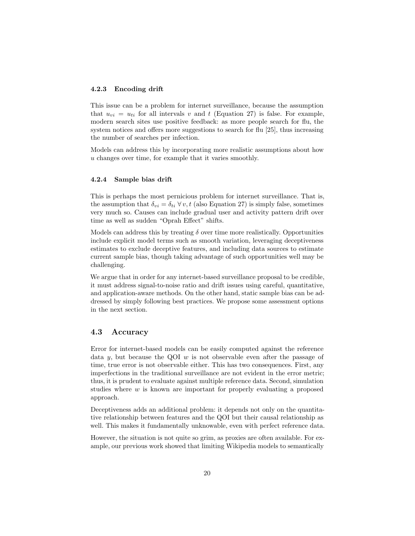#### 4.2.3 Encoding drift

This issue can be a problem for internet surveillance, because the assumption that  $u_{vi} = u_{ti}$  for all intervals v and t (Equation [27\)](#page-16-1) is false. For example, modern search sites use positive feedback: as more people search for flu, the system notices and offers more suggestions to search for flu [\[25\]](#page-24-1), thus increasing the number of searches per infection.

Models can address this by incorporating more realistic assumptions about how u changes over time, for example that it varies smoothly.

#### 4.2.4 Sample bias drift

This is perhaps the most pernicious problem for internet surveillance. That is, the assumption that  $\delta_{vi} = \delta_{ti} \,\forall v, t$  (also Equation [27\)](#page-16-1) is simply false, sometimes very much so. Causes can include gradual user and activity pattern drift over time as well as sudden "Oprah Effect" shifts.

Models can address this by treating  $\delta$  over time more realistically. Opportunities include explicit model terms such as smooth variation, leveraging deceptiveness estimates to exclude deceptive features, and including data sources to estimate current sample bias, though taking advantage of such opportunities well may be challenging.

We argue that in order for any internet-based surveillance proposal to be credible, it must address signal-to-noise ratio and drift issues using careful, quantitative, and application-aware methods. On the other hand, static sample bias can be addressed by simply following best practices. We propose some assessment options in the next section.

### 4.3 Accuracy

Error for internet-based models can be easily computed against the reference data y, but because the QOI  $w$  is not observable even after the passage of time, true error is not observable either. This has two consequences. First, any imperfections in the traditional surveillance are not evident in the error metric; thus, it is prudent to evaluate against multiple reference data. Second, simulation studies where  $w$  is known are important for properly evaluating a proposed approach.

Deceptiveness adds an additional problem: it depends not only on the quantitative relationship between features and the QOI but their causal relationship as well. This makes it fundamentally unknowable, even with perfect reference data.

However, the situation is not quite so grim, as proxies are often available. For example, our previous work showed that limiting Wikipedia models to semantically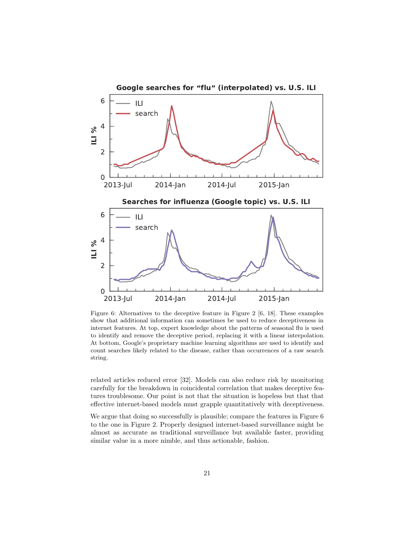<span id="page-20-0"></span>

Figure 6: Alternatives to the deceptive feature in Figure [2](#page-3-0) [\[6,](#page-22-2) [18\]](#page-23-5). These examples show that additional information can sometimes be used to reduce deceptiveness in internet features. At top, expert knowledge about the patterns of seasonal flu is used to identify and remove the deceptive period, replacing it with a linear interpolation. At bottom, Google's proprietary machine learning algorithms are used to identify and count searches likely related to the disease, rather than occurrences of a raw search string.

related articles reduced error [\[32\]](#page-24-2). Models can also reduce risk by monitoring carefully for the breakdown in coincidental correlation that makes deceptive features troublesome. Our point is not that the situation is hopeless but that that effective internet-based models must grapple quantitatively with deceptiveness.

We argue that doing so successfully is plausible; compare the features in Figure [6](#page-20-0) to the one in Figure [2.](#page-3-0) Properly designed internet-based surveillance might be almost as accurate as traditional surveillance but available faster, providing similar value in a more nimble, and thus actionable, fashion.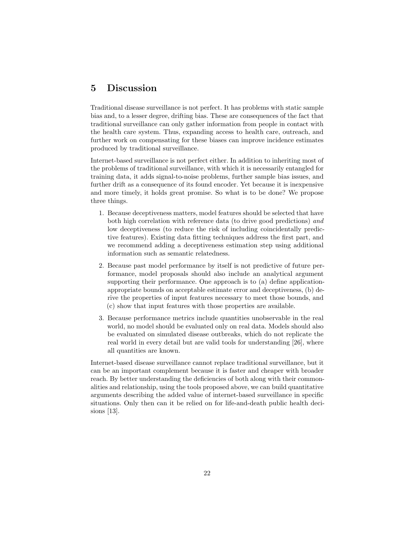# 5 Discussion

Traditional disease surveillance is not perfect. It has problems with static sample bias and, to a lesser degree, drifting bias. These are consequences of the fact that traditional surveillance can only gather information from people in contact with the health care system. Thus, expanding access to health care, outreach, and further work on compensating for these biases can improve incidence estimates produced by traditional surveillance.

Internet-based surveillance is not perfect either. In addition to inheriting most of the problems of traditional surveillance, with which it is necessarily entangled for training data, it adds signal-to-noise problems, further sample bias issues, and further drift as a consequence of its found encoder. Yet because it is inexpensive and more timely, it holds great promise. So what is to be done? We propose three things.

- 1. Because deceptiveness matters, model features should be selected that have both high correlation with reference data (to drive good predictions) and low deceptiveness (to reduce the risk of including coincidentally predictive features). Existing data fitting techniques address the first part, and we recommend adding a deceptiveness estimation step using additional information such as semantic relatedness.
- 2. Because past model performance by itself is not predictive of future performance, model proposals should also include an analytical argument supporting their performance. One approach is to (a) define applicationappropriate bounds on acceptable estimate error and deceptiveness, (b) derive the properties of input features necessary to meet those bounds, and (c) show that input features with those properties are available.
- 3. Because performance metrics include quantities unobservable in the real world, no model should be evaluated only on real data. Models should also be evaluated on simulated disease outbreaks, which do not replicate the real world in every detail but are valid tools for understanding [\[26\]](#page-24-11), where all quantities are known.

Internet-based disease surveillance cannot replace traditional surveillance, but it can be an important complement because it is faster and cheaper with broader reach. By better understanding the deficiencies of both along with their commonalities and relationship, using the tools proposed above, we can build quantitative arguments describing the added value of internet-based surveillance in specific situations. Only then can it be relied on for life-and-death public health decisions [\[13\]](#page-23-2).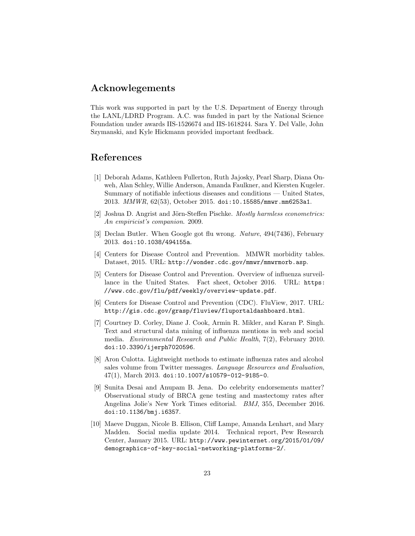### Acknowlegements

This work was supported in part by the U.S. Department of Energy through the LANL/LDRD Program. A.C. was funded in part by the National Science Foundation under awards IIS-1526674 and IIS-1618244. Sara Y. Del Valle, John Szymanski, and Kyle Hickmann provided important feedback.

### References

- <span id="page-22-4"></span>[1] Deborah Adams, Kathleen Fullerton, Ruth Jajosky, Pearl Sharp, Diana Onweh, Alan Schley, Willie Anderson, Amanda Faulkner, and Kiersten Kugeler. Summary of notifiable infectious diseases and conditions — United States, 2013. MMWR, 62(53), October 2015. [doi:10.15585/mmwr.mm6253a1](http://dx.doi.org/10.15585/mmwr.mm6253a1).
- <span id="page-22-8"></span>[2] Joshua D. Angrist and Jörn-Steffen Pischke. Mostly harmless econometrics: An empiricist's companion. 2009.
- <span id="page-22-6"></span>[3] Declan Butler. When Google got flu wrong. Nature, 494(7436), February 2013. [doi:10.1038/494155a](http://dx.doi.org/10.1038/494155a).
- <span id="page-22-3"></span>[4] Centers for Disease Control and Prevention. MMWR morbidity tables. Dataset, 2015. URL: <http://wonder.cdc.gov/mmwr/mmwrmorb.asp>.
- <span id="page-22-9"></span>[5] Centers for Disease Control and Prevention. Overview of influenza surveillance in the United States. Fact sheet, October 2016. URL: [https:](https://www.cdc.gov/flu/pdf/weekly/overview-update.pdf) [//www.cdc.gov/flu/pdf/weekly/overview-update.pdf](https://www.cdc.gov/flu/pdf/weekly/overview-update.pdf).
- <span id="page-22-2"></span>[6] Centers for Disease Control and Prevention (CDC). FluView, 2017. URL: <http://gis.cdc.gov/grasp/fluview/fluportaldashboard.html>.
- <span id="page-22-1"></span>[7] Courtney D. Corley, Diane J. Cook, Armin R. Mikler, and Karan P. Singh. Text and structural data mining of influenza mentions in web and social media. Environmental Research and Public Health, 7(2), February 2010. [doi:10.3390/ijerph7020596](http://dx.doi.org/10.3390/ijerph7020596).
- <span id="page-22-0"></span>[8] Aron Culotta. Lightweight methods to estimate influenza rates and alcohol sales volume from Twitter messages. Language Resources and Evaluation, 47(1), March 2013. [doi:10.1007/s10579-012-9185-0](http://dx.doi.org/10.1007/s10579-012-9185-0).
- <span id="page-22-7"></span>[9] Sunita Desai and Anupam B. Jena. Do celebrity endorsements matter? Observational study of BRCA gene testing and mastectomy rates after Angelina Jolie's New York Times editorial. BMJ, 355, December 2016. [doi:10.1136/bmj.i6357](http://dx.doi.org/10.1136/bmj.i6357).
- <span id="page-22-5"></span>[10] Maeve Duggan, Nicole B. Ellison, Cliff Lampe, Amanda Lenhart, and Mary Madden. Social media update 2014. Technical report, Pew Research Center, January 2015. URL: [http://www.pewinternet.org/2015/01/09/](http://www.pewinternet.org/2015/01/09/demographics-of-key-social-networking-platforms-2/) [demographics-of-key-social-networking-platforms-2/](http://www.pewinternet.org/2015/01/09/demographics-of-key-social-networking-platforms-2/).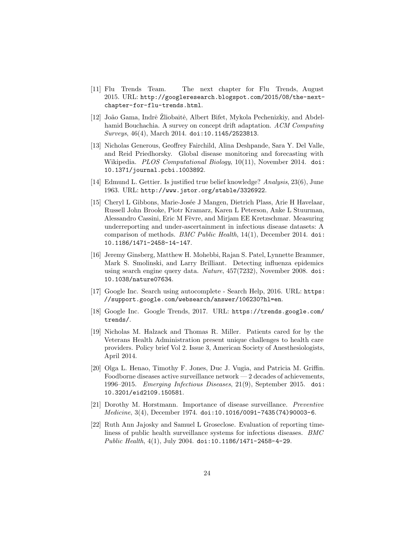- <span id="page-23-3"></span>[11] Flu Trends Team. The next chapter for Flu Trends, August 2015. URL: [http://googleresearch.blogspot.com/2015/08/the-next](http://googleresearch.blogspot.com/2015/08/the-next-chapter-for-flu-trends.html)[chapter-for-flu-trends.html](http://googleresearch.blogspot.com/2015/08/the-next-chapter-for-flu-trends.html).
- <span id="page-23-4"></span>[12] João Gama, Indrė Zliobaitė, Albert Bifet, Mykola Pechenizkiy, and Abdelhamid Bouchachia. A survey on concept drift adaptation. ACM Computing Surveys, 46(4), March 2014. [doi:10.1145/2523813](http://dx.doi.org/10.1145/2523813).
- <span id="page-23-2"></span>[13] Nicholas Generous, Geoffrey Fairchild, Alina Deshpande, Sara Y. Del Valle, and Reid Priedhorsky. Global disease monitoring and forecasting with Wikipedia. *PLOS Computational Biology*, 10(11), November 2014. [doi:](http://dx.doi.org/10.1371/journal.pcbi.1003892) [10.1371/journal.pcbi.1003892](http://dx.doi.org/10.1371/journal.pcbi.1003892).
- <span id="page-23-8"></span>[14] Edmund L. Gettier. Is justified true belief knowledge? Analysis, 23(6), June 1963. URL: <http://www.jstor.org/stable/3326922>.
- <span id="page-23-10"></span>[15] Cheryl L Gibbons, Marie-Josée J Mangen, Dietrich Plass, Arie H Havelaar, Russell John Brooke, Piotr Kramarz, Karen L Peterson, Anke L Stuurman, Alessandro Cassini, Eric M Fèvre, and Mirjam EE Kretzschmar. Measuring underreporting and under-ascertainment in infectious disease datasets: A comparison of methods. BMC Public Health, 14(1), December 2014. [doi:](http://dx.doi.org/10.1186/1471-2458-14-147) [10.1186/1471-2458-14-147](http://dx.doi.org/10.1186/1471-2458-14-147).
- <span id="page-23-1"></span>[16] Jeremy Ginsberg, Matthew H. Mohebbi, Rajan S. Patel, Lynnette Brammer, Mark S. Smolinski, and Larry Brilliant. Detecting influenza epidemics using search engine query data. Nature, 457(7232), November 2008. [doi:](http://dx.doi.org/10.1038/nature07634) [10.1038/nature07634](http://dx.doi.org/10.1038/nature07634).
- <span id="page-23-7"></span>[17] Google Inc. Search using autocomplete - Search Help, 2016. URL: [https:](https://support.google.com/websearch/answer/106230?hl=en) [//support.google.com/websearch/answer/106230?hl=en](https://support.google.com/websearch/answer/106230?hl=en).
- <span id="page-23-5"></span>[18] Google Inc. Google Trends, 2017. URL: [https://trends.google.com/](https://trends.google.com/trends/) [trends/](https://trends.google.com/trends/).
- <span id="page-23-6"></span>[19] Nicholas M. Halzack and Thomas R. Miller. Patients cared for by the Veterans Health Administration present unique challenges to health care providers. Policy brief Vol 2. Issue 3, American Society of Anesthesiologists, April 2014.
- <span id="page-23-9"></span>[20] Olga L. Henao, Timothy F. Jones, Duc J. Vugia, and Patricia M. Griffin. Foodborne diseases active surveillance network — 2 decades of achievements, 1996–2015. Emerging Infectious Diseases, 21(9), September 2015. [doi:](http://dx.doi.org/10.3201/eid2109.150581) [10.3201/eid2109.150581](http://dx.doi.org/10.3201/eid2109.150581).
- <span id="page-23-0"></span>[21] Dorothy M. Horstmann. Importance of disease surveillance. Preventive Medicine, 3(4), December 1974. [doi:10.1016/0091-7435\(74\)90003-6](http://dx.doi.org/10.1016/0091-7435(74)90003-6).
- <span id="page-23-11"></span>[22] Ruth Ann Jajosky and Samuel L Groseclose. Evaluation of reporting timeliness of public health surveillance systems for infectious diseases. BMC *Public Health*,  $4(1)$ , July 2004. [doi:10.1186/1471-2458-4-29](http://dx.doi.org/10.1186/1471-2458-4-29).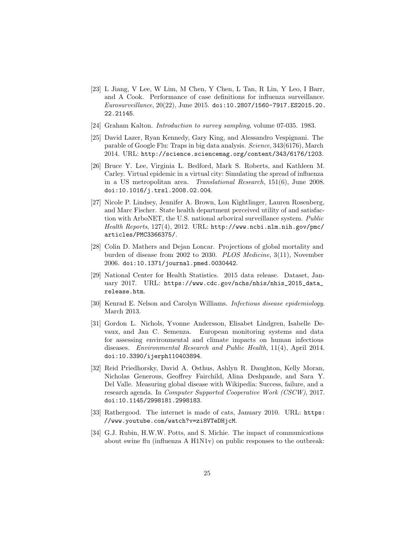- <span id="page-24-8"></span>[23] L Jiang, V Lee, W Lim, M Chen, Y Chen, L Tan, R Lin, Y Leo, I Barr, and A Cook. Performance of case definitions for influenza surveillance. Eurosurveillance, 20(22), June 2015. [doi:10.2807/1560-7917.ES2015.20.](http://dx.doi.org/10.2807/1560-7917.ES2015.20.22.21145) [22.21145](http://dx.doi.org/10.2807/1560-7917.ES2015.20.22.21145).
- <span id="page-24-5"></span>[24] Graham Kalton. Introduction to survey sampling, volume 07-035. 1983.
- <span id="page-24-1"></span>[25] David Lazer, Ryan Kennedy, Gary King, and Alessandro Vespignani. The parable of Google Flu: Traps in big data analysis. Science, 343(6176), March 2014. URL: <http://science.sciencemag.org/content/343/6176/1203>.
- <span id="page-24-11"></span>[26] Bruce Y. Lee, Virginia L. Bedford, Mark S. Roberts, and Kathleen M. Carley. Virtual epidemic in a virtual city: Simulating the spread of influenza in a US metropolitan area. Translational Research, 151(6), June 2008. [doi:10.1016/j.trsl.2008.02.004](http://dx.doi.org/10.1016/j.trsl.2008.02.004).
- <span id="page-24-7"></span>[27] Nicole P. Lindsey, Jennifer A. Brown, Lon Kightlinger, Lauren Rosenberg, and Marc Fischer. State health department perceived utility of and satisfaction with ArboNET, the U.S. national arboviral surveillance system. Public Health Reports, 127(4), 2012. URL: [http://www.ncbi.nlm.nih.gov/pmc/](http://www.ncbi.nlm.nih.gov/pmc/articles/PMC3366375/) [articles/PMC3366375/](http://www.ncbi.nlm.nih.gov/pmc/articles/PMC3366375/).
- <span id="page-24-0"></span>[28] Colin D. Mathers and Dejan Loncar. Projections of global mortality and burden of disease from 2002 to 2030. PLOS Medicine, 3(11), November 2006. [doi:10.1371/journal.pmed.0030442](http://dx.doi.org/10.1371/journal.pmed.0030442).
- <span id="page-24-3"></span>[29] National Center for Health Statistics. 2015 data release. Dataset, January 2017. URL: [https://www.cdc.gov/nchs/nhis/nhis\\_2015\\_data\\_](https://www.cdc.gov/nchs/nhis/nhis_2015_data_release.htm) [release.htm](https://www.cdc.gov/nchs/nhis/nhis_2015_data_release.htm).
- <span id="page-24-4"></span>[30] Kenrad E. Nelson and Carolyn Williams. Infectious disease epidemiology. March 2013.
- <span id="page-24-6"></span>[31] Gordon L. Nichols, Yvonne Andersson, Elisabet Lindgren, Isabelle Devaux, and Jan C. Semenza. European monitoring systems and data for assessing environmental and climate impacts on human infectious diseases. Environmental Research and Public Health, 11(4), April 2014. [doi:10.3390/ijerph110403894](http://dx.doi.org/10.3390/ijerph110403894).
- <span id="page-24-2"></span>[32] Reid Priedhorsky, David A. Osthus, Ashlyn R. Daughton, Kelly Moran, Nicholas Generous, Geoffrey Fairchild, Alina Deshpande, and Sara Y. Del Valle. Measuring global disease with Wikipedia: Success, failure, and a research agenda. In Computer Supported Cooperative Work (CSCW), 2017. [doi:10.1145/2998181.2998183](http://dx.doi.org/10.1145/2998181.2998183).
- <span id="page-24-10"></span>[33] Rathergood. The internet is made of cats, January 2010. URL: [https:](https://www.youtube.com/watch?v=zi8VTeDHjcM) [//www.youtube.com/watch?v=zi8VTeDHjcM](https://www.youtube.com/watch?v=zi8VTeDHjcM).
- <span id="page-24-9"></span>[34] G.J. Rubin, H.W.W. Potts, and S. Michie. The impact of communications about swine flu (influenza A H1N1v) on public responses to the outbreak: